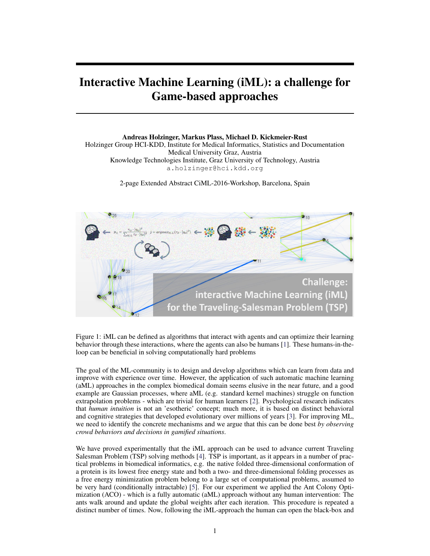## Interactive Machine Learning (iML): a challenge for Game-based approaches

Andreas Holzinger, Markus Plass, Michael D. Kickmeier-Rust Holzinger Group HCI-KDD, Institute for Medical Informatics, Statistics and Documentation Medical University Graz, Austria Knowledge Technologies Institute, Graz University of Technology, Austria a.holzinger@hci.kdd.org

2-page Extended Abstract CiML-2016-Workshop, Barcelona, Spain



Figure 1: iML can be defined as algorithms that interact with agents and can optimize their learning behavior through these interactions, where the agents can also be humans [\[1\]](#page-1-0). These humans-in-theloop can be beneficial in solving computationally hard problems

The goal of the ML-community is to design and develop algorithms which can learn from data and improve with experience over time. However, the application of such automatic machine learning (aML) approaches in the complex biomedical domain seems elusive in the near future, and a good example are Gaussian processes, where aML (e.g. standard kernel machines) struggle on function extrapolation problems - which are trivial for human learners [\[2\]](#page-1-1). Psychological research indicates that *human intuition* is not an 'esotheric' concept; much more, it is based on distinct behavioral and cognitive strategies that developed evolutionary over millions of years [\[3\]](#page-1-2). For improving ML, we need to identify the concrete mechanisms and we argue that this can be done best *by observing crowd behaviors and decisions in gamified situations*.

We have proved experimentally that the iML approach can be used to advance current Traveling Salesman Problem (TSP) solving methods [\[4\]](#page-1-3). TSP is important, as it appears in a number of practical problems in biomedical informatics, e.g. the native folded three-dimensional conformation of a protein is its lowest free energy state and both a two- and three-dimensional folding processes as a free energy minimization problem belong to a large set of computational problems, assumed to be very hard (conditionally intractable) [\[5\]](#page-1-4). For our experiment we applied the Ant Colony Optimization (ACO) - which is a fully automatic (aML) approach without any human intervention: The ants walk around and update the global weights after each iteration. This procedure is repeated a distinct number of times. Now, following the iML-approach the human can open the black-box and